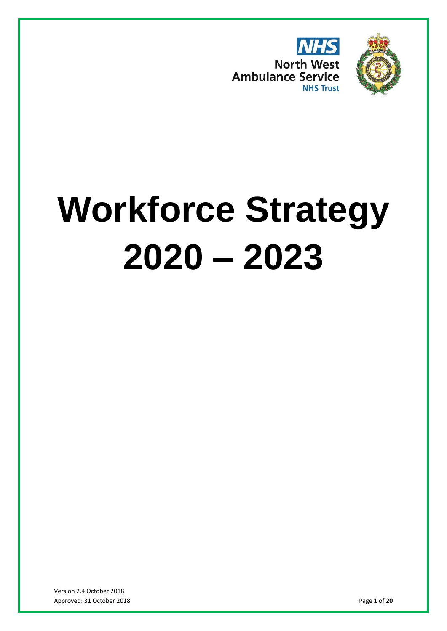



# **Workforce Strategy 2020 – 2023**

Version 2.4 October 2018 Approved: 31 October 2018 Page **1** of **20**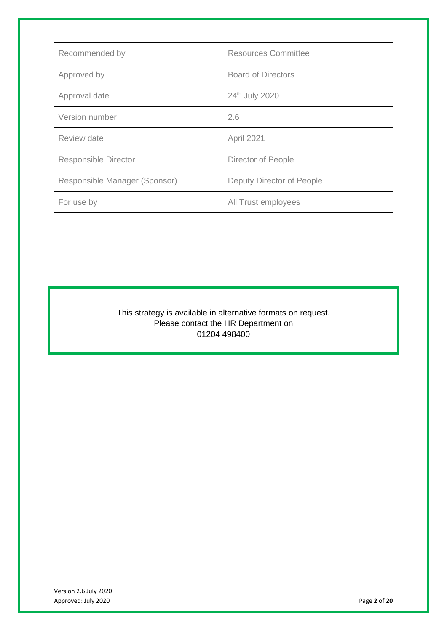| Recommended by                | <b>Resources Committee</b> |  |
|-------------------------------|----------------------------|--|
| Approved by                   | <b>Board of Directors</b>  |  |
| Approval date                 | 24th July 2020             |  |
| Version number                | 2.6                        |  |
| Review date                   | April 2021                 |  |
| <b>Responsible Director</b>   | Director of People         |  |
| Responsible Manager (Sponsor) | Deputy Director of People  |  |
| For use by                    | All Trust employees        |  |

This strategy is available in alternative formats on request. Please contact the HR Department on 01204 498400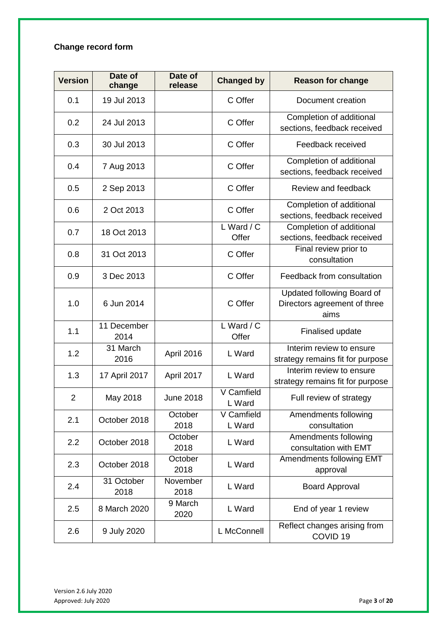# **Change record form**

| <b>Version</b> | Date of<br>change   | Date of<br>release | <b>Changed by</b>              | <b>Reason for change</b>                                           |  |
|----------------|---------------------|--------------------|--------------------------------|--------------------------------------------------------------------|--|
| 0.1            | 19 Jul 2013         |                    | C Offer                        | Document creation                                                  |  |
| 0.2            | 24 Jul 2013         |                    | C Offer                        | Completion of additional<br>sections, feedback received            |  |
| 0.3            | 30 Jul 2013         |                    | C Offer                        | Feedback received                                                  |  |
| 0.4            | 7 Aug 2013          |                    | C Offer                        | Completion of additional<br>sections, feedback received            |  |
| 0.5            | 2 Sep 2013          |                    | C Offer                        | Review and feedback                                                |  |
| 0.6            | 2 Oct 2013          |                    | C Offer                        | Completion of additional<br>sections, feedback received            |  |
| 0.7            | 18 Oct 2013         |                    | L Ward $\overline{C}$<br>Offer | Completion of additional<br>sections, feedback received            |  |
| 0.8            | 31 Oct 2013         |                    | C Offer                        | Final review prior to<br>consultation                              |  |
| 0.9            | 3 Dec 2013          |                    | C Offer                        | Feedback from consultation                                         |  |
| 1.0            | 6 Jun 2014          |                    | C Offer                        | Updated following Board of<br>Directors agreement of three<br>aims |  |
| 1.1            | 11 December<br>2014 |                    | L Ward / C<br>Offer            | Finalised update                                                   |  |
| 1.2            | 31 March<br>2016    | April 2016         | L Ward                         | Interim review to ensure<br>strategy remains fit for purpose       |  |
| 1.3            | 17 April 2017       | April 2017         | L Ward                         | Interim review to ensure<br>strategy remains fit for purpose       |  |
| $\overline{2}$ | May 2018            | <b>June 2018</b>   | V Camfield<br>L Ward           | Full review of strategy                                            |  |
| 2.1            | October 2018        | October<br>2018    | V Camfield<br>L Ward           | Amendments following<br>consultation                               |  |
| 2.2            | October 2018        | October<br>2018    | L Ward                         | Amendments following<br>consultation with EMT                      |  |
| 2.3            | October 2018        | October<br>2018    | L Ward                         | Amendments following EMT<br>approval                               |  |
| 2.4            | 31 October<br>2018  | November<br>2018   | L Ward                         | <b>Board Approval</b>                                              |  |
| 2.5            | 8 March 2020        | 9 March<br>2020    | L Ward                         | End of year 1 review                                               |  |
| 2.6            | 9 July 2020         |                    | L McConnell                    | Reflect changes arising from<br>COVID <sub>19</sub>                |  |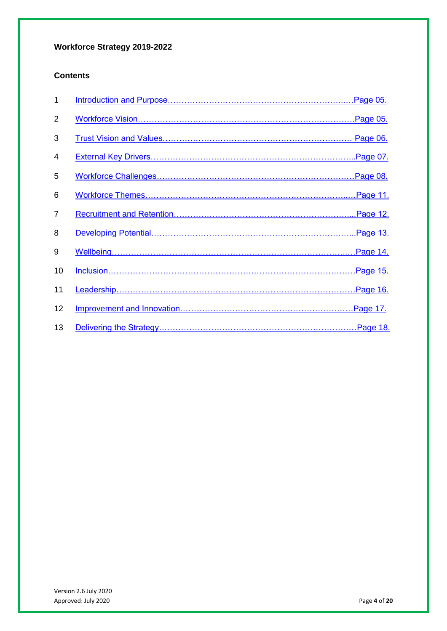# **Workforce Strategy 2019-2022**

# **Contents**

| 1              |  |
|----------------|--|
| $\overline{2}$ |  |
| 3              |  |
| 4              |  |
| 5              |  |
| 6              |  |
| $\overline{7}$ |  |
| 8              |  |
| 9              |  |
| 10             |  |
| 11             |  |
| 12             |  |
| 13             |  |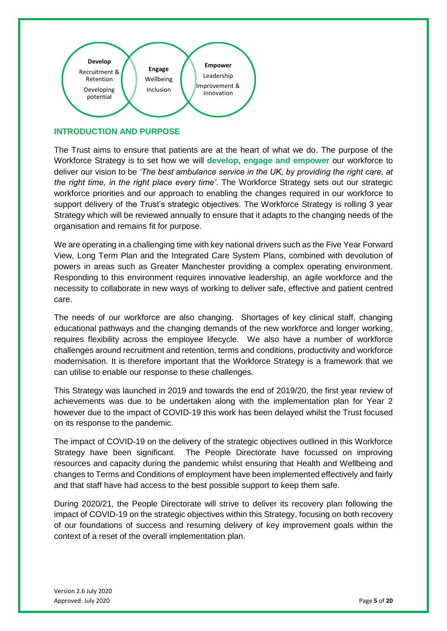

# <span id="page-4-0"></span>**INTRODUCTION AND PURPOSE**

The Trust aims to ensure that patients are at the heart of what we do. The purpose of the Workforce Strategy is to set how we will **develop, engage and empower** our workforce to deliver our vision to be *'The best ambulance service in the UK, by providing the right care, at the right time, in the right place every time'*. The Workforce Strategy sets out our strategic workforce priorities and our approach to enabling the changes required in our workforce to support delivery of the Trust's strategic objectives. The Workforce Strategy is rolling 3 year Strategy which will be reviewed annually to ensure that it adapts to the changing needs of the organisation and remains fit for purpose.

We are operating in a challenging time with key national drivers such as the Five Year Forward View, Long Term Plan and the Integrated Care System Plans, combined with devolution of powers in areas such as Greater Manchester providing a complex operating environment. Responding to this environment requires innovative leadership, an agile workforce and the necessity to collaborate in new ways of working to deliver safe, effective and patient centred care.

The needs of our workforce are also changing. Shortages of key clinical staff, changing educational pathways and the changing demands of the new workforce and longer working, requires flexibility across the employee lifecycle. We also have a number of workforce challenges around recruitment and retention, terms and conditions, productivity and workforce modernisation. It is therefore important that the Workforce Strategy is a framework that we can utilise to enable our response to these challenges.

This Strategy was launched in 2019 and towards the end of 2019/20, the first year review of achievements was due to be undertaken along with the implementation plan for Year 2 however due to the impact of COVID-19 this work has been delayed whilst the Trust focused on its response to the pandemic.

The impact of COVID-19 on the delivery of the strategic objectives outlined in this Workforce Strategy have been significant. The People Directorate have focussed on improving resources and capacity during the pandemic whilst ensuring that Health and Wellbeing and changes to Terms and Conditions of employment have been implemented effectively and fairly and that staff have had access to the best possible support to keep them safe.

During 2020/21, the People Directorate will strive to deliver its recovery plan following the impact of COVID-19 on the strategic objectives within this Strategy, focusing on both recovery of our foundations of success and resuming delivery of key improvement goals within the context of a reset of the overall implementation plan.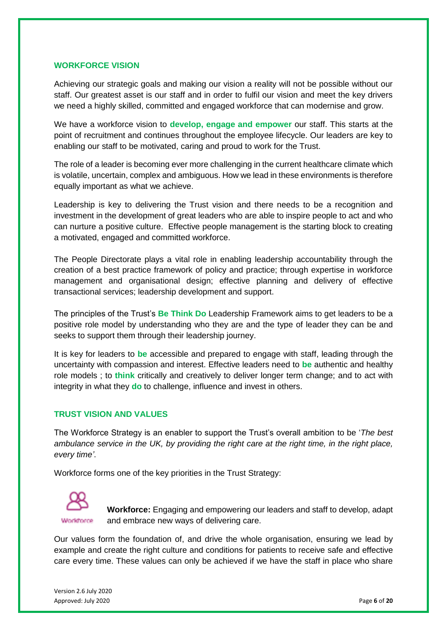#### <span id="page-5-0"></span>**WORKFORCE VISION**

Achieving our strategic goals and making our vision a reality will not be possible without our staff. Our greatest asset is our staff and in order to fulfil our vision and meet the key drivers we need a highly skilled, committed and engaged workforce that can modernise and grow.

We have a workforce vision to **develop, engage and empower** our staff. This starts at the point of recruitment and continues throughout the employee lifecycle. Our leaders are key to enabling our staff to be motivated, caring and proud to work for the Trust.

The role of a leader is becoming ever more challenging in the current healthcare climate which is volatile, uncertain, complex and ambiguous. How we lead in these environments is therefore equally important as what we achieve.

Leadership is key to delivering the Trust vision and there needs to be a recognition and investment in the development of great leaders who are able to inspire people to act and who can nurture a positive culture. Effective people management is the starting block to creating a motivated, engaged and committed workforce.

The People Directorate plays a vital role in enabling leadership accountability through the creation of a best practice framework of policy and practice; through expertise in workforce management and organisational design; effective planning and delivery of effective transactional services; leadership development and support.

The principles of the Trust's **Be Think Do** Leadership Framework aims to get leaders to be a positive role model by understanding who they are and the type of leader they can be and seeks to support them through their leadership journey.

It is key for leaders to **be** accessible and prepared to engage with staff, leading through the uncertainty with compassion and interest. Effective leaders need to **be** authentic and healthy role models ; to **think** critically and creatively to deliver longer term change; and to act with integrity in what they **do** to challenge, influence and invest in others.

#### <span id="page-5-1"></span>**TRUST VISION AND VALUES**

The Workforce Strategy is an enabler to support the Trust's overall ambition to be '*The best ambulance service in the UK, by providing the right care at the right time, in the right place, every time'*.

Workforce forms one of the key priorities in the Trust Strategy:



**Workforce:** Engaging and empowering our leaders and staff to develop, adapt and embrace new ways of delivering care.

Our values form the foundation of, and drive the whole organisation, ensuring we lead by example and create the right culture and conditions for patients to receive safe and effective care every time. These values can only be achieved if we have the staff in place who share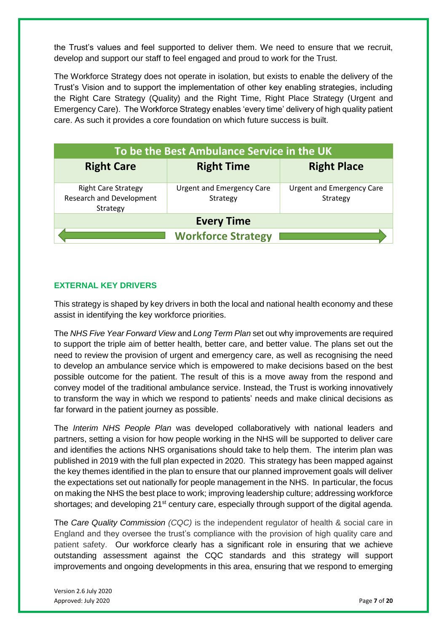the Trust's values and feel supported to deliver them. We need to ensure that we recruit, develop and support our staff to feel engaged and proud to work for the Trust.

The Workforce Strategy does not operate in isolation, but exists to enable the delivery of the Trust's Vision and to support the implementation of other key enabling strategies, including the Right Care Strategy (Quality) and the Right Time, Right Place Strategy (Urgent and Emergency Care). The Workforce Strategy enables 'every time' delivery of high quality patient care. As such it provides a core foundation on which future success is built.

| To be the Best Ambulance Service in the UK                                |                                              |                                              |  |  |  |  |
|---------------------------------------------------------------------------|----------------------------------------------|----------------------------------------------|--|--|--|--|
| <b>Right Care</b>                                                         | <b>Right Time</b>                            | <b>Right Place</b>                           |  |  |  |  |
| <b>Right Care Strategy</b><br><b>Research and Development</b><br>Strategy | <b>Urgent and Emergency Care</b><br>Strategy | <b>Urgent and Emergency Care</b><br>Strategy |  |  |  |  |
| <b>Every Time</b>                                                         |                                              |                                              |  |  |  |  |
| <b>Workforce Strategy</b>                                                 |                                              |                                              |  |  |  |  |

# <span id="page-6-0"></span>**EXTERNAL KEY DRIVERS**

This strategy is shaped by key drivers in both the local and national health economy and these assist in identifying the key workforce priorities.

The *NHS Five Year Forward View* and *Long Term Plan* set out why improvements are required to support the triple aim of better health, better care, and better value. The plans set out the need to review the provision of urgent and emergency care, as well as recognising the need to develop an ambulance service which is empowered to make decisions based on the best possible outcome for the patient. The result of this is a move away from the respond and convey model of the traditional ambulance service. Instead, the Trust is working innovatively to transform the way in which we respond to patients' needs and make clinical decisions as far forward in the patient journey as possible.

The *Interim NHS People Plan* was developed collaboratively with national leaders and partners, setting a vision for how people working in the NHS will be supported to deliver care and identifies the actions NHS organisations should take to help them. The interim plan was published in 2019 with the full plan expected in 2020. This strategy has been mapped against the key themes identified in the plan to ensure that our planned improvement goals will deliver the expectations set out nationally for people management in the NHS. In particular, the focus on making the NHS the best place to work; improving leadership culture; addressing workforce shortages; and developing 21<sup>st</sup> century care, especially through support of the digital agenda.

The *Care Quality Commission (CQC)* is the independent regulator of health & social care in England and they oversee the trust's compliance with the provision of high quality care and patient safety. Our workforce clearly has a significant role in ensuring that we achieve outstanding assessment against the CQC standards and this strategy will support improvements and ongoing developments in this area, ensuring that we respond to emerging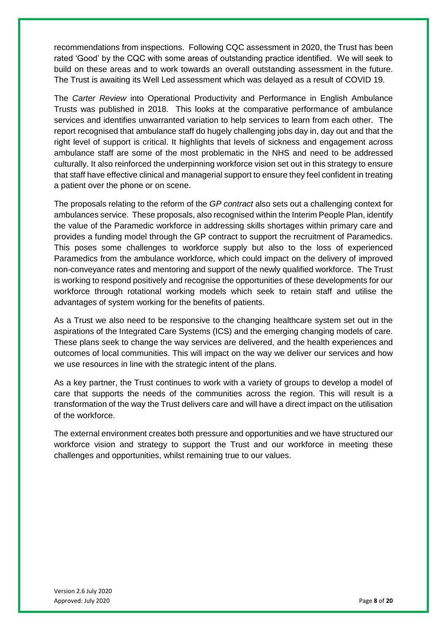recommendations from inspections. Following CQC assessment in 2020, the Trust has been rated 'Good' by the CQC with some areas of outstanding practice identified. We will seek to build on these areas and to work towards an overall outstanding assessment in the future. The Trust is awaiting its Well Led assessment which was delayed as a result of COVID 19.

The *Carter Review* into Operational Productivity and Performance in English Ambulance Trusts was published in 2018. This looks at the comparative performance of ambulance services and identifies unwarranted variation to help services to learn from each other. The report recognised that ambulance staff do hugely challenging jobs day in, day out and that the right level of support is critical. It highlights that levels of sickness and engagement across ambulance staff are some of the most problematic in the NHS and need to be addressed culturally. It also reinforced the underpinning workforce vision set out in this strategy to ensure that staff have effective clinical and managerial support to ensure they feel confident in treating a patient over the phone or on scene.

The proposals relating to the reform of the *GP contract* also sets out a challenging context for ambulances service. These proposals, also recognised within the Interim People Plan, identify the value of the Paramedic workforce in addressing skills shortages within primary care and provides a funding model through the GP contract to support the recruitment of Paramedics. This poses some challenges to workforce supply but also to the loss of experienced Paramedics from the ambulance workforce, which could impact on the delivery of improved non-conveyance rates and mentoring and support of the newly qualified workforce. The Trust is working to respond positively and recognise the opportunities of these developments for our workforce through rotational working models which seek to retain staff and utilise the advantages of system working for the benefits of patients.

As a Trust we also need to be responsive to the changing healthcare system set out in the aspirations of the Integrated Care Systems (ICS) and the emerging changing models of care. These plans seek to change the way services are delivered, and the health experiences and outcomes of local communities. This will impact on the way we deliver our services and how we use resources in line with the strategic intent of the plans.

As a key partner, the Trust continues to work with a variety of groups to develop a model of care that supports the needs of the communities across the region. This will result is a transformation of the way the Trust delivers care and will have a direct impact on the utilisation of the workforce.

The external environment creates both pressure and opportunities and we have structured our workforce vision and strategy to support the Trust and our workforce in meeting these challenges and opportunities, whilst remaining true to our values.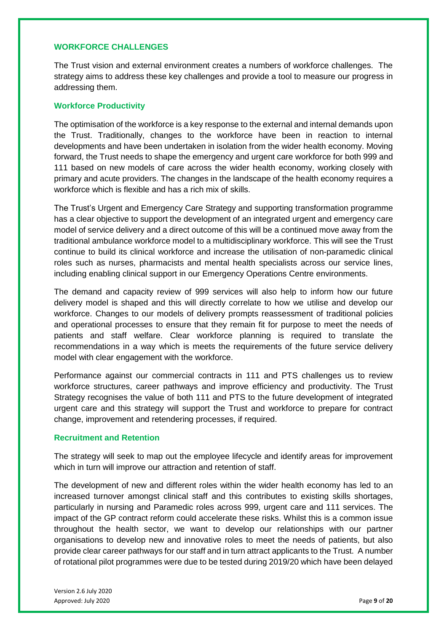# <span id="page-8-0"></span>**WORKFORCE CHALLENGES**

The Trust vision and external environment creates a numbers of workforce challenges. The strategy aims to address these key challenges and provide a tool to measure our progress in addressing them.

#### **Workforce Productivity**

The optimisation of the workforce is a key response to the external and internal demands upon the Trust. Traditionally, changes to the workforce have been in reaction to internal developments and have been undertaken in isolation from the wider health economy. Moving forward, the Trust needs to shape the emergency and urgent care workforce for both 999 and 111 based on new models of care across the wider health economy, working closely with primary and acute providers. The changes in the landscape of the health economy requires a workforce which is flexible and has a rich mix of skills.

The Trust's Urgent and Emergency Care Strategy and supporting transformation programme has a clear objective to support the development of an integrated urgent and emergency care model of service delivery and a direct outcome of this will be a continued move away from the traditional ambulance workforce model to a multidisciplinary workforce. This will see the Trust continue to build its clinical workforce and increase the utilisation of non-paramedic clinical roles such as nurses, pharmacists and mental health specialists across our service lines, including enabling clinical support in our Emergency Operations Centre environments.

The demand and capacity review of 999 services will also help to inform how our future delivery model is shaped and this will directly correlate to how we utilise and develop our workforce. Changes to our models of delivery prompts reassessment of traditional policies and operational processes to ensure that they remain fit for purpose to meet the needs of patients and staff welfare. Clear workforce planning is required to translate the recommendations in a way which is meets the requirements of the future service delivery model with clear engagement with the workforce.

Performance against our commercial contracts in 111 and PTS challenges us to review workforce structures, career pathways and improve efficiency and productivity. The Trust Strategy recognises the value of both 111 and PTS to the future development of integrated urgent care and this strategy will support the Trust and workforce to prepare for contract change, improvement and retendering processes, if required.

#### **Recruitment and Retention**

The strategy will seek to map out the employee lifecycle and identify areas for improvement which in turn will improve our attraction and retention of staff.

The development of new and different roles within the wider health economy has led to an increased turnover amongst clinical staff and this contributes to existing skills shortages, particularly in nursing and Paramedic roles across 999, urgent care and 111 services. The impact of the GP contract reform could accelerate these risks. Whilst this is a common issue throughout the health sector, we want to develop our relationships with our partner organisations to develop new and innovative roles to meet the needs of patients, but also provide clear career pathways for our staff and in turn attract applicants to the Trust. A number of rotational pilot programmes were due to be tested during 2019/20 which have been delayed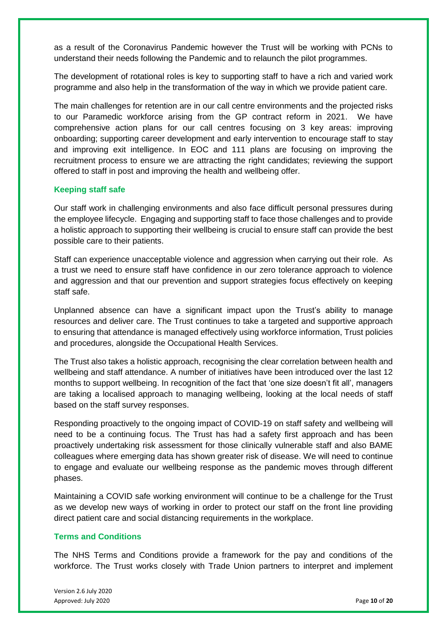as a result of the Coronavirus Pandemic however the Trust will be working with PCNs to understand their needs following the Pandemic and to relaunch the pilot programmes.

The development of rotational roles is key to supporting staff to have a rich and varied work programme and also help in the transformation of the way in which we provide patient care.

The main challenges for retention are in our call centre environments and the projected risks to our Paramedic workforce arising from the GP contract reform in 2021. We have comprehensive action plans for our call centres focusing on 3 key areas: improving onboarding; supporting career development and early intervention to encourage staff to stay and improving exit intelligence. In EOC and 111 plans are focusing on improving the recruitment process to ensure we are attracting the right candidates; reviewing the support offered to staff in post and improving the health and wellbeing offer.

# **Keeping staff safe**

Our staff work in challenging environments and also face difficult personal pressures during the employee lifecycle. Engaging and supporting staff to face those challenges and to provide a holistic approach to supporting their wellbeing is crucial to ensure staff can provide the best possible care to their patients.

Staff can experience unacceptable violence and aggression when carrying out their role. As a trust we need to ensure staff have confidence in our zero tolerance approach to violence and aggression and that our prevention and support strategies focus effectively on keeping staff safe.

Unplanned absence can have a significant impact upon the Trust's ability to manage resources and deliver care. The Trust continues to take a targeted and supportive approach to ensuring that attendance is managed effectively using workforce information, Trust policies and procedures, alongside the Occupational Health Services.

The Trust also takes a holistic approach, recognising the clear correlation between health and wellbeing and staff attendance. A number of initiatives have been introduced over the last 12 months to support wellbeing. In recognition of the fact that 'one size doesn't fit all', managers are taking a localised approach to managing wellbeing, looking at the local needs of staff based on the staff survey responses.

Responding proactively to the ongoing impact of COVID-19 on staff safety and wellbeing will need to be a continuing focus. The Trust has had a safety first approach and has been proactively undertaking risk assessment for those clinically vulnerable staff and also BAME colleagues where emerging data has shown greater risk of disease. We will need to continue to engage and evaluate our wellbeing response as the pandemic moves through different phases.

Maintaining a COVID safe working environment will continue to be a challenge for the Trust as we develop new ways of working in order to protect our staff on the front line providing direct patient care and social distancing requirements in the workplace.

#### **Terms and Conditions**

The NHS Terms and Conditions provide a framework for the pay and conditions of the workforce. The Trust works closely with Trade Union partners to interpret and implement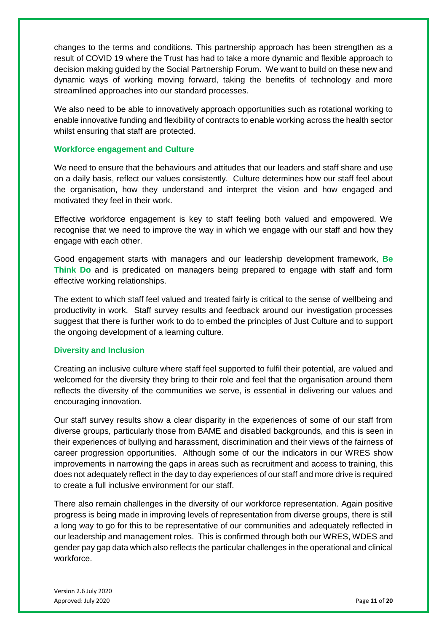changes to the terms and conditions. This partnership approach has been strengthen as a result of COVID 19 where the Trust has had to take a more dynamic and flexible approach to decision making guided by the Social Partnership Forum. We want to build on these new and dynamic ways of working moving forward, taking the benefits of technology and more streamlined approaches into our standard processes.

We also need to be able to innovatively approach opportunities such as rotational working to enable innovative funding and flexibility of contracts to enable working across the health sector whilst ensuring that staff are protected.

#### **Workforce engagement and Culture**

We need to ensure that the behaviours and attitudes that our leaders and staff share and use on a daily basis, reflect our values consistently. Culture determines how our staff feel about the organisation, how they understand and interpret the vision and how engaged and motivated they feel in their work.

Effective workforce engagement is key to staff feeling both valued and empowered. We recognise that we need to improve the way in which we engage with our staff and how they engage with each other.

Good engagement starts with managers and our leadership development framework, **Be Think Do** and is predicated on managers being prepared to engage with staff and form effective working relationships.

The extent to which staff feel valued and treated fairly is critical to the sense of wellbeing and productivity in work. Staff survey results and feedback around our investigation processes suggest that there is further work to do to embed the principles of Just Culture and to support the ongoing development of a learning culture.

# **Diversity and Inclusion**

Creating an inclusive culture where staff feel supported to fulfil their potential, are valued and welcomed for the diversity they bring to their role and feel that the organisation around them reflects the diversity of the communities we serve, is essential in delivering our values and encouraging innovation.

Our staff survey results show a clear disparity in the experiences of some of our staff from diverse groups, particularly those from BAME and disabled backgrounds, and this is seen in their experiences of bullying and harassment, discrimination and their views of the fairness of career progression opportunities. Although some of our the indicators in our WRES show improvements in narrowing the gaps in areas such as recruitment and access to training, this does not adequately reflect in the day to day experiences of our staff and more drive is required to create a full inclusive environment for our staff.

There also remain challenges in the diversity of our workforce representation. Again positive progress is being made in improving levels of representation from diverse groups, there is still a long way to go for this to be representative of our communities and adequately reflected in our leadership and management roles. This is confirmed through both our WRES, WDES and gender pay gap data which also reflects the particular challenges in the operational and clinical workforce.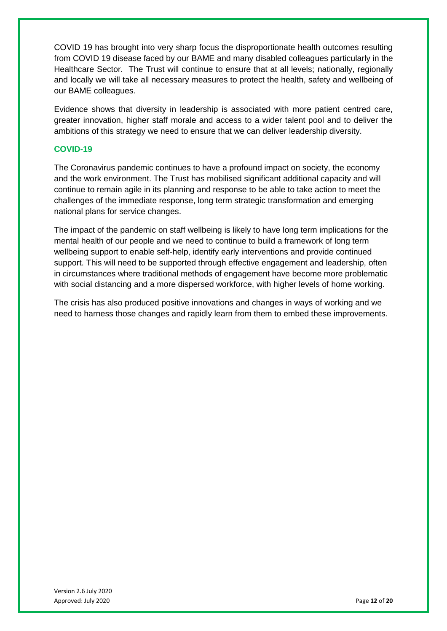COVID 19 has brought into very sharp focus the disproportionate health outcomes resulting from COVID 19 disease faced by our BAME and many disabled colleagues particularly in the Healthcare Sector. The Trust will continue to ensure that at all levels; nationally, regionally and locally we will take all necessary measures to protect the health, safety and wellbeing of our BAME colleagues.

Evidence shows that diversity in leadership is associated with more patient centred care, greater innovation, higher staff morale and access to a wider talent pool and to deliver the ambitions of this strategy we need to ensure that we can deliver leadership diversity.

# **COVID-19**

The Coronavirus pandemic continues to have a profound impact on society, the economy and the work environment. The Trust has mobilised significant additional capacity and will continue to remain agile in its planning and response to be able to take action to meet the challenges of the immediate response, long term strategic transformation and emerging national plans for service changes.

The impact of the pandemic on staff wellbeing is likely to have long term implications for the mental health of our people and we need to continue to build a framework of long term wellbeing support to enable self-help, identify early interventions and provide continued support. This will need to be supported through effective engagement and leadership, often in circumstances where traditional methods of engagement have become more problematic with social distancing and a more dispersed workforce, with higher levels of home working.

The crisis has also produced positive innovations and changes in ways of working and we need to harness those changes and rapidly learn from them to embed these improvements.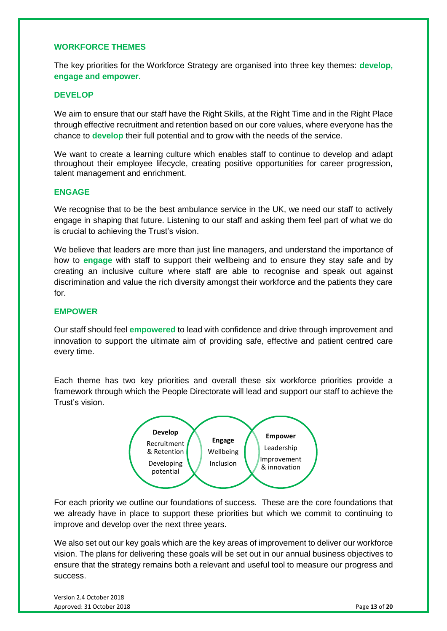# <span id="page-12-0"></span>**WORKFORCE THEMES**

The key priorities for the Workforce Strategy are organised into three key themes: **develop, engage and empower.**

#### **DEVELOP**

We aim to ensure that our staff have the Right Skills, at the Right Time and in the Right Place through effective recruitment and retention based on our core values, where everyone has the chance to **develop** their full potential and to grow with the needs of the service.

We want to create a learning culture which enables staff to continue to develop and adapt throughout their employee lifecycle, creating positive opportunities for career progression, talent management and enrichment.

#### **ENGAGE**

We recognise that to be the best ambulance service in the UK, we need our staff to actively engage in shaping that future. Listening to our staff and asking them feel part of what we do is crucial to achieving the Trust's vision.

We believe that leaders are more than just line managers, and understand the importance of how to **engage** with staff to support their wellbeing and to ensure they stay safe and by creating an inclusive culture where staff are able to recognise and speak out against discrimination and value the rich diversity amongst their workforce and the patients they care for.

#### **EMPOWER**

Our staff should feel **empowered** to lead with confidence and drive through improvement and innovation to support the ultimate aim of providing safe, effective and patient centred care every time.

Each theme has two key priorities and overall these six workforce priorities provide a framework through which the People Directorate will lead and support our staff to achieve the Trust's vision.



For each priority we outline our foundations of success. These are the core foundations that we already have in place to support these priorities but which we commit to continuing to improve and develop over the next three years.

We also set out our key goals which are the key areas of improvement to deliver our workforce vision. The plans for delivering these goals will be set out in our annual business objectives to ensure that the strategy remains both a relevant and useful tool to measure our progress and success.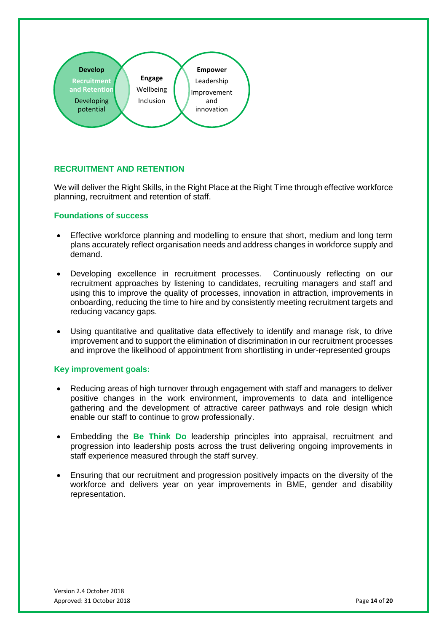

# <span id="page-13-0"></span>**RECRUITMENT AND RETENTION**

We will deliver the Right Skills, in the Right Place at the Right Time through effective workforce planning, recruitment and retention of staff.

#### **Foundations of success**

- Effective workforce planning and modelling to ensure that short, medium and long term plans accurately reflect organisation needs and address changes in workforce supply and demand.
- Developing excellence in recruitment processes. Continuously reflecting on our recruitment approaches by listening to candidates, recruiting managers and staff and using this to improve the quality of processes, innovation in attraction, improvements in onboarding, reducing the time to hire and by consistently meeting recruitment targets and reducing vacancy gaps.
- Using quantitative and qualitative data effectively to identify and manage risk, to drive improvement and to support the elimination of discrimination in our recruitment processes and improve the likelihood of appointment from shortlisting in under-represented groups

- Reducing areas of high turnover through engagement with staff and managers to deliver positive changes in the work environment, improvements to data and intelligence gathering and the development of attractive career pathways and role design which enable our staff to continue to grow professionally.
- Embedding the **Be Think Do** leadership principles into appraisal, recruitment and progression into leadership posts across the trust delivering ongoing improvements in staff experience measured through the staff survey.
- Ensuring that our recruitment and progression positively impacts on the diversity of the workforce and delivers year on year improvements in BME, gender and disability representation.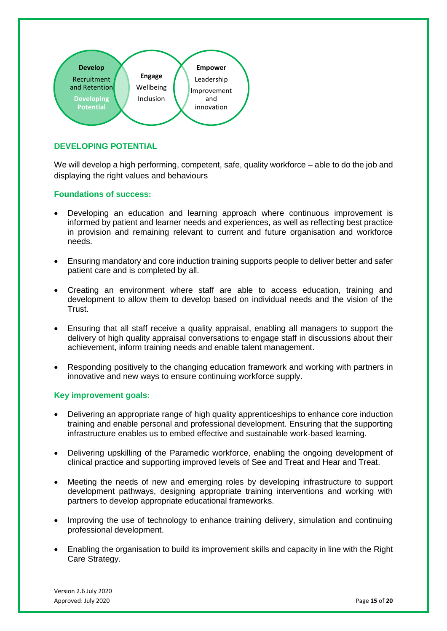

# <span id="page-14-0"></span>**DEVELOPING POTENTIAL**

We will develop a high performing, competent, safe, quality workforce – able to do the job and displaying the right values and behaviours

# **Foundations of success:**

- Developing an education and learning approach where continuous improvement is informed by patient and learner needs and experiences, as well as reflecting best practice in provision and remaining relevant to current and future organisation and workforce needs.
- Ensuring mandatory and core induction training supports people to deliver better and safer patient care and is completed by all.
- Creating an environment where staff are able to access education, training and development to allow them to develop based on individual needs and the vision of the Trust.
- Ensuring that all staff receive a quality appraisal, enabling all managers to support the delivery of high quality appraisal conversations to engage staff in discussions about their achievement, inform training needs and enable talent management.
- Responding positively to the changing education framework and working with partners in innovative and new ways to ensure continuing workforce supply.

- Delivering an appropriate range of high quality apprenticeships to enhance core induction training and enable personal and professional development. Ensuring that the supporting infrastructure enables us to embed effective and sustainable work-based learning.
- Delivering upskilling of the Paramedic workforce, enabling the ongoing development of clinical practice and supporting improved levels of See and Treat and Hear and Treat.
- Meeting the needs of new and emerging roles by developing infrastructure to support development pathways, designing appropriate training interventions and working with partners to develop appropriate educational frameworks.
- Improving the use of technology to enhance training delivery, simulation and continuing professional development.
- Enabling the organisation to build its improvement skills and capacity in line with the Right Care Strategy.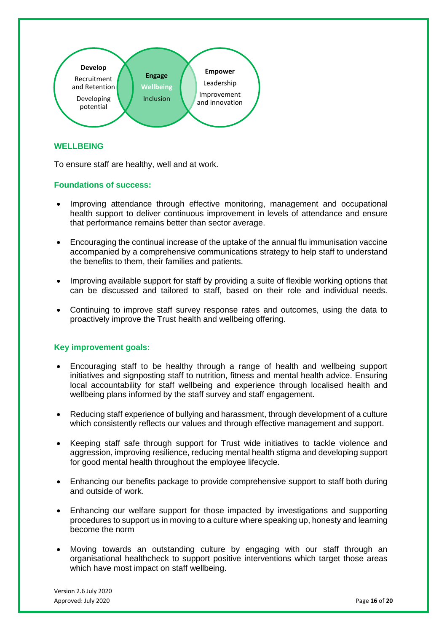

# <span id="page-15-0"></span>**WELLBEING**

To ensure staff are healthy, well and at work.

#### **Foundations of success:**

- Improving attendance through effective monitoring, management and occupational health support to deliver continuous improvement in levels of attendance and ensure that performance remains better than sector average.
- Encouraging the continual increase of the uptake of the annual flu immunisation vaccine accompanied by a comprehensive communications strategy to help staff to understand the benefits to them, their families and patients.
- Improving available support for staff by providing a suite of flexible working options that can be discussed and tailored to staff, based on their role and individual needs.
- Continuing to improve staff survey response rates and outcomes, using the data to proactively improve the Trust health and wellbeing offering.

- Encouraging staff to be healthy through a range of health and wellbeing support initiatives and signposting staff to nutrition, fitness and mental health advice. Ensuring local accountability for staff wellbeing and experience through localised health and wellbeing plans informed by the staff survey and staff engagement.
- Reducing staff experience of bullying and harassment, through development of a culture which consistently reflects our values and through effective management and support.
- Keeping staff safe through support for Trust wide initiatives to tackle violence and aggression, improving resilience, reducing mental health stigma and developing support for good mental health throughout the employee lifecycle.
- Enhancing our benefits package to provide comprehensive support to staff both during and outside of work.
- Enhancing our welfare support for those impacted by investigations and supporting procedures to support us in moving to a culture where speaking up, honesty and learning become the norm
- Moving towards an outstanding culture by engaging with our staff through an organisational healthcheck to support positive interventions which target those areas which have most impact on staff wellbeing.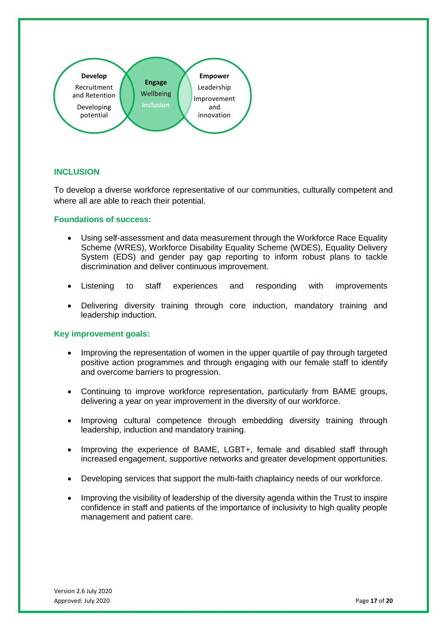

# <span id="page-16-0"></span>**INCLUSION**

To develop a diverse workforce representative of our communities, culturally competent and where all are able to reach their potential.

#### **Foundations of success:**

- Using self-assessment and data measurement through the Workforce Race Equality Scheme (WRES), Workforce Disability Equality Scheme (WDES), Equality Delivery System (EDS) and gender pay gap reporting to inform robust plans to tackle discrimination and deliver continuous improvement.
- Listening to staff experiences and responding with improvements
- Delivering diversity training through core induction, mandatory training and leadership induction.

- Improving the representation of women in the upper quartile of pay through targeted positive action programmes and through engaging with our female staff to identify and overcome barriers to progression.
- Continuing to improve workforce representation, particularly from BAME groups, delivering a year on year improvement in the diversity of our workforce.
- Improving cultural competence through embedding diversity training through leadership, induction and mandatory training.
- Improving the experience of BAME, LGBT+, female and disabled staff through increased engagement, supportive networks and greater development opportunities.
- Developing services that support the multi-faith chaplaincy needs of our workforce.
- Improving the visibility of leadership of the diversity agenda within the Trust to inspire confidence in staff and patients of the importance of inclusivity to high quality people management and patient care.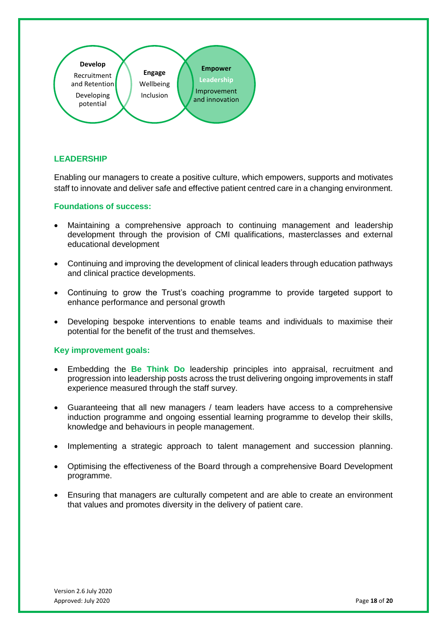

# <span id="page-17-0"></span>**LEADERSHIP**

Enabling our managers to create a positive culture, which empowers, supports and motivates staff to innovate and deliver safe and effective patient centred care in a changing environment.

#### **Foundations of success:**

- Maintaining a comprehensive approach to continuing management and leadership development through the provision of CMI qualifications, masterclasses and external educational development
- Continuing and improving the development of clinical leaders through education pathways and clinical practice developments.
- Continuing to grow the Trust's coaching programme to provide targeted support to enhance performance and personal growth
- Developing bespoke interventions to enable teams and individuals to maximise their potential for the benefit of the trust and themselves.

- Embedding the **Be Think Do** leadership principles into appraisal, recruitment and progression into leadership posts across the trust delivering ongoing improvements in staff experience measured through the staff survey.
- Guaranteeing that all new managers / team leaders have access to a comprehensive induction programme and ongoing essential learning programme to develop their skills, knowledge and behaviours in people management.
- Implementing a strategic approach to talent management and succession planning.
- Optimising the effectiveness of the Board through a comprehensive Board Development programme.
- Ensuring that managers are culturally competent and are able to create an environment that values and promotes diversity in the delivery of patient care.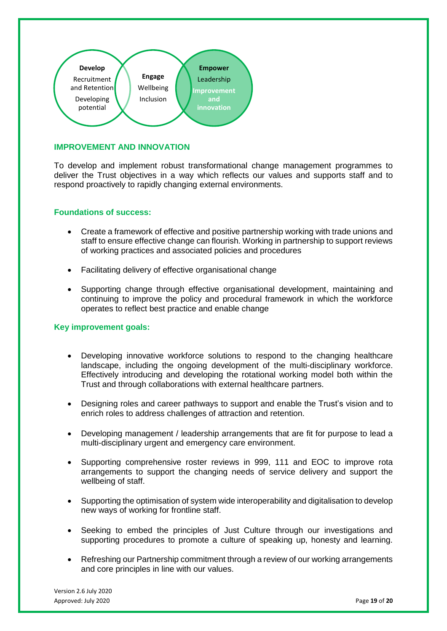

# <span id="page-18-0"></span>**IMPROVEMENT AND INNOVATION**

To develop and implement robust transformational change management programmes to deliver the Trust objectives in a way which reflects our values and supports staff and to respond proactively to rapidly changing external environments.

#### **Foundations of success:**

- Create a framework of effective and positive partnership working with trade unions and staff to ensure effective change can flourish. Working in partnership to support reviews of working practices and associated policies and procedures
- Facilitating delivery of effective organisational change
- Supporting change through effective organisational development, maintaining and continuing to improve the policy and procedural framework in which the workforce operates to reflect best practice and enable change

- Developing innovative workforce solutions to respond to the changing healthcare landscape, including the ongoing development of the multi-disciplinary workforce. Effectively introducing and developing the rotational working model both within the Trust and through collaborations with external healthcare partners.
- Designing roles and career pathways to support and enable the Trust's vision and to enrich roles to address challenges of attraction and retention.
- Developing management / leadership arrangements that are fit for purpose to lead a multi-disciplinary urgent and emergency care environment.
- Supporting comprehensive roster reviews in 999, 111 and EOC to improve rota arrangements to support the changing needs of service delivery and support the wellbeing of staff.
- Supporting the optimisation of system wide interoperability and digitalisation to develop new ways of working for frontline staff.
- Seeking to embed the principles of Just Culture through our investigations and supporting procedures to promote a culture of speaking up, honesty and learning.
- Refreshing our Partnership commitment through a review of our working arrangements and core principles in line with our values.